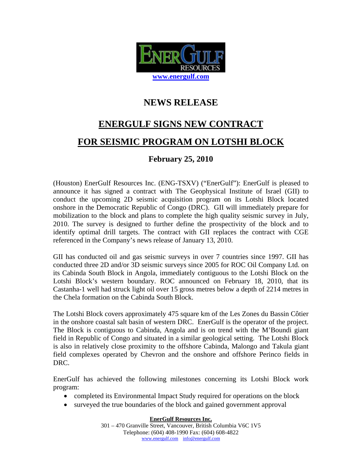

## **NEWS RELEASE**

# **ENERGULF SIGNS NEW CONTRACT FOR SEISMIC PROGRAM ON LOTSHI BLOCK**

### **February 25, 2010**

(Houston) EnerGulf Resources Inc. (ENG-TSXV) ("EnerGulf"): EnerGulf is pleased to announce it has signed a contract with The Geophysical Institute of Israel (GII) to conduct the upcoming 2D seismic acquisition program on its Lotshi Block located onshore in the Democratic Republic of Congo (DRC). GII will immediately prepare for mobilization to the block and plans to complete the high quality seismic survey in July, 2010. The survey is designed to further define the prospectivity of the block and to identify optimal drill targets. The contract with GII replaces the contract with CGE referenced in the Company's news release of January 13, 2010.

GII has conducted oil and gas seismic surveys in over 7 countries since 1997. GII has conducted three 2D and/or 3D seismic surveys since 2005 for ROC Oil Company Ltd. on its Cabinda South Block in Angola, immediately contiguous to the Lotshi Block on the Lotshi Block's western boundary. ROC announced on February 18, 2010, that its Castanha-1 well had struck light oil over 15 gross metres below a depth of 2214 metres in the Chela formation on the Cabinda South Block.

The Lotshi Block covers approximately 475 square km of the Les Zones du Bassin Côtier in the onshore coastal salt basin of western DRC. EnerGulf is the operator of the project. The Block is contiguous to Cabinda, Angola and is on trend with the M'Boundi giant field in Republic of Congo and situated in a similar geological setting. The Lotshi Block is also in relatively close proximity to the offshore Cabinda, Malongo and Takula giant field complexes operated by Chevron and the onshore and offshore Perinco fields in DRC.

EnerGulf has achieved the following milestones concerning its Lotshi Block work program:

- completed its Environmental Impact Study required for operations on the block
- surveyed the true boundaries of the block and gained government approval

**EnerGulf Resources Inc.**